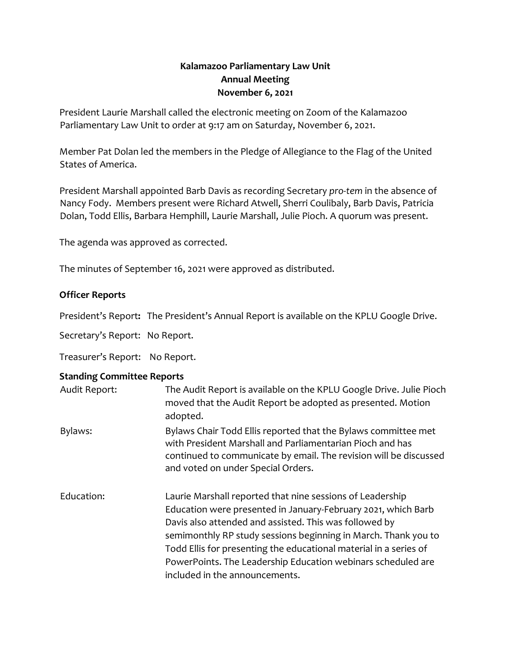## **Kalamazoo Parliamentary Law Unit Annual Meeting November 6, 2021**

President Laurie Marshall called the electronic meeting on Zoom of the Kalamazoo Parliamentary Law Unit to order at 9:17 am on Saturday, November 6, 2021.

Member Pat Dolan led the members in the Pledge of Allegiance to the Flag of the United States of America.

President Marshall appointed Barb Davis as recording Secretary *pro-tem* in the absence of Nancy Fody. Members present were Richard Atwell, Sherri Coulibaly, Barb Davis, Patricia Dolan, Todd Ellis, Barbara Hemphill, Laurie Marshall, Julie Pioch. A quorum was present.

The agenda was approved as corrected.

The minutes of September 16, 2021 were approved as distributed.

## **Officer Reports**

President's Report**:** The President's Annual Report is available on the KPLU Google Drive.

Secretary's Report: No Report.

Treasurer's Report: No Report.

## **Standing Committee Reports**

| Audit Report: | The Audit Report is available on the KPLU Google Drive. Julie Pioch<br>moved that the Audit Report be adopted as presented. Motion<br>adopted.                                                                                                                                                                                                                                                                                |
|---------------|-------------------------------------------------------------------------------------------------------------------------------------------------------------------------------------------------------------------------------------------------------------------------------------------------------------------------------------------------------------------------------------------------------------------------------|
| Bylaws:       | Bylaws Chair Todd Ellis reported that the Bylaws committee met<br>with President Marshall and Parliamentarian Pioch and has<br>continued to communicate by email. The revision will be discussed<br>and voted on under Special Orders.                                                                                                                                                                                        |
| Education:    | Laurie Marshall reported that nine sessions of Leadership<br>Education were presented in January-February 2021, which Barb<br>Davis also attended and assisted. This was followed by<br>semimonthly RP study sessions beginning in March. Thank you to<br>Todd Ellis for presenting the educational material in a series of<br>PowerPoints. The Leadership Education webinars scheduled are<br>included in the announcements. |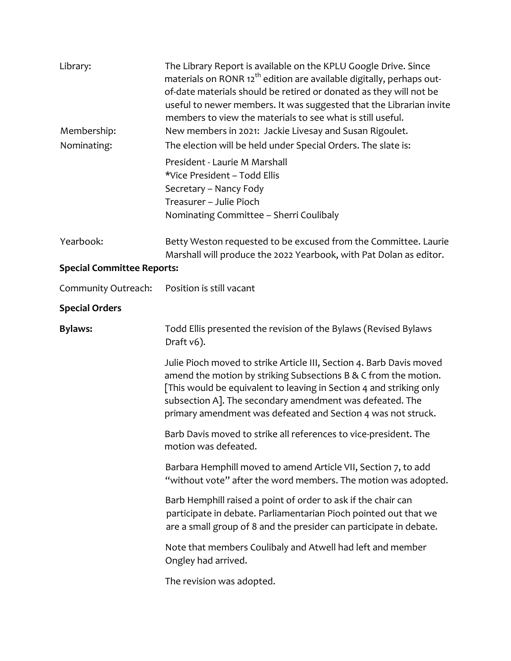| Library:                          | The Library Report is available on the KPLU Google Drive. Since<br>materials on RONR 12 <sup>th</sup> edition are available digitally, perhaps out-<br>of-date materials should be retired or donated as they will not be<br>useful to newer members. It was suggested that the Librarian invite<br>members to view the materials to see what is still useful. |
|-----------------------------------|----------------------------------------------------------------------------------------------------------------------------------------------------------------------------------------------------------------------------------------------------------------------------------------------------------------------------------------------------------------|
| Membership:                       | New members in 2021: Jackie Livesay and Susan Rigoulet.                                                                                                                                                                                                                                                                                                        |
| Nominating:                       | The election will be held under Special Orders. The slate is:                                                                                                                                                                                                                                                                                                  |
|                                   | President - Laurie M Marshall<br>*Vice President - Todd Ellis<br>Secretary - Nancy Fody<br>Treasurer - Julie Pioch                                                                                                                                                                                                                                             |
|                                   | Nominating Committee - Sherri Coulibaly                                                                                                                                                                                                                                                                                                                        |
| Yearbook:                         | Betty Weston requested to be excused from the Committee. Laurie<br>Marshall will produce the 2022 Yearbook, with Pat Dolan as editor.                                                                                                                                                                                                                          |
| <b>Special Committee Reports:</b> |                                                                                                                                                                                                                                                                                                                                                                |
| Community Outreach:               | Position is still vacant                                                                                                                                                                                                                                                                                                                                       |
| <b>Special Orders</b>             |                                                                                                                                                                                                                                                                                                                                                                |
| <b>Bylaws:</b>                    | Todd Ellis presented the revision of the Bylaws (Revised Bylaws<br>Draft v6).                                                                                                                                                                                                                                                                                  |
|                                   | Julie Pioch moved to strike Article III, Section 4. Barb Davis moved<br>amend the motion by striking Subsections B & C from the motion.<br>[This would be equivalent to leaving in Section 4 and striking only<br>subsection A]. The secondary amendment was defeated. The<br>primary amendment was defeated and Section 4 was not struck.                     |
|                                   | Barb Davis moved to strike all references to vice-president. The<br>motion was defeated.                                                                                                                                                                                                                                                                       |
|                                   | Barbara Hemphill moved to amend Article VII, Section 7, to add<br>"without vote" after the word members. The motion was adopted.                                                                                                                                                                                                                               |
|                                   | Barb Hemphill raised a point of order to ask if the chair can<br>participate in debate. Parliamentarian Pioch pointed out that we<br>are a small group of 8 and the presider can participate in debate.                                                                                                                                                        |
|                                   | Note that members Coulibaly and Atwell had left and member<br>Ongley had arrived.                                                                                                                                                                                                                                                                              |
|                                   | The revision was adopted.                                                                                                                                                                                                                                                                                                                                      |